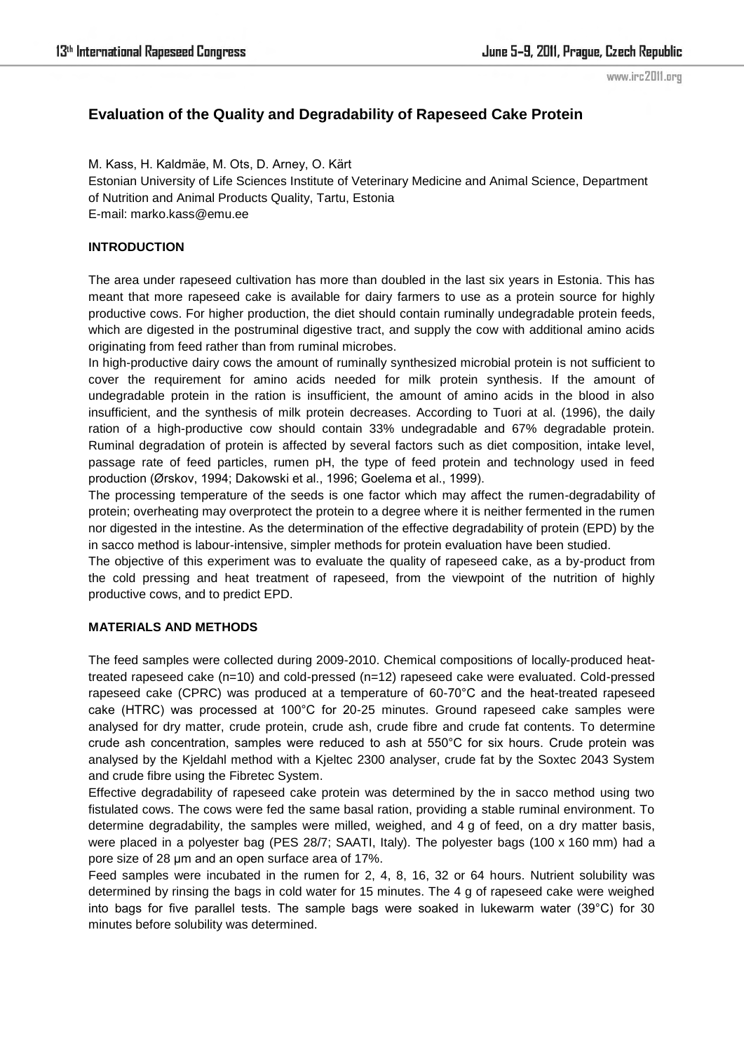# **Evaluation of the Quality and Degradability of Rapeseed Cake Protein**

M. Kass, H. Kaldmäe, M. Ots, D. Arney, O. Kärt Estonian University of Life Sciences Institute of Veterinary Medicine and Animal Science, Department of Nutrition and Animal Products Quality, Tartu, Estonia E-mail: marko.kass@emu.ee

# **INTRODUCTION**

The area under rapeseed cultivation has more than doubled in the last six years in Estonia. This has meant that more rapeseed cake is available for dairy farmers to use as a protein source for highly productive cows. For higher production, the diet should contain ruminally undegradable protein feeds, which are digested in the postruminal digestive tract, and supply the cow with additional amino acids originating from feed rather than from ruminal microbes.

In high-productive dairy cows the amount of ruminally synthesized microbial protein is not sufficient to cover the requirement for amino acids needed for milk protein synthesis. If the amount of undegradable protein in the ration is insufficient, the amount of amino acids in the blood in also insufficient, and the synthesis of milk protein decreases. According to Tuori at al. (1996), the daily ration of a high-productive cow should contain 33% undegradable and 67% degradable protein. Ruminal degradation of protein is affected by several factors such as diet composition, intake level, passage rate of feed particles, rumen pH, the type of feed protein and technology used in feed production (Ørskov, 1994; Dakowski et al., 1996; Goelema et al., 1999).

The processing temperature of the seeds is one factor which may affect the rumen-degradability of protein; overheating may overprotect the protein to a degree where it is neither fermented in the rumen nor digested in the intestine. As the determination of the effective degradability of protein (EPD) by the in sacco method is labour-intensive, simpler methods for protein evaluation have been studied.

The objective of this experiment was to evaluate the quality of rapeseed cake, as a by-product from the cold pressing and heat treatment of rapeseed, from the viewpoint of the nutrition of highly productive cows, and to predict EPD.

### **MATERIALS AND METHODS**

The feed samples were collected during 2009-2010. Chemical compositions of locally-produced heattreated rapeseed cake (n=10) and cold-pressed (n=12) rapeseed cake were evaluated. Cold-pressed rapeseed cake (CPRC) was produced at a temperature of 60-70°C and the heat-treated rapeseed cake (HTRC) was processed at 100°C for 20-25 minutes. Ground rapeseed cake samples were analysed for dry matter, crude protein, crude ash, crude fibre and crude fat contents. To determine crude ash concentration, samples were reduced to ash at 550°C for six hours. Crude protein was analysed by the Kjeldahl method with a Kjeltec 2300 analyser, crude fat by the Soxtec 2043 System and crude fibre using the Fibretec System.

Effective degradability of rapeseed cake protein was determined by the in sacco method using two fistulated cows. The cows were fed the same basal ration, providing a stable ruminal environment. To determine degradability, the samples were milled, weighed, and 4 g of feed, on a dry matter basis, were placed in a polyester bag (PES 28/7; SAATI, Italy). The polyester bags (100 x 160 mm) had a pore size of 28 μm and an open surface area of 17%.

Feed samples were incubated in the rumen for 2, 4, 8, 16, 32 or 64 hours. Nutrient solubility was determined by rinsing the bags in cold water for 15 minutes. The 4 g of rapeseed cake were weighed into bags for five parallel tests. The sample bags were soaked in lukewarm water (39°C) for 30 minutes before solubility was determined.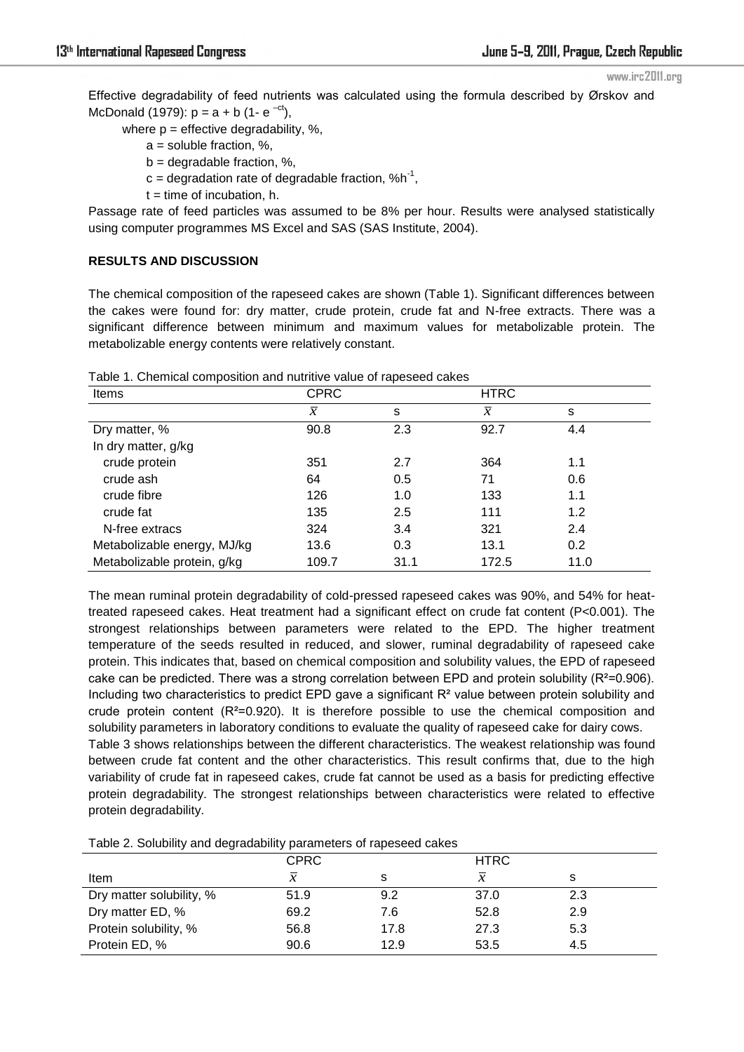Effective degradability of feed nutrients was calculated using the formula described by Ørskov and McDonald (1979):  $p = a + b$  (1-  $e^{-ct}$ ),

where  $p =$  effective degradability, %,

- a = soluble fraction, %,
- $b =$  degradable fraction, %,
- $c =$  degradation rate of degradable fraction,  $% h^{-1}$ ,
	- $t =$  time of incubation, h.

Passage rate of feed particles was assumed to be 8% per hour. Results were analysed statistically using computer programmes MS Excel and SAS (SAS Institute, 2004).

# **RESULTS AND DISCUSSION**

The chemical composition of the rapeseed cakes are shown (Table 1). Significant differences between the cakes were found for: dry matter, crude protein, crude fat and N-free extracts. There was a significant difference between minimum and maximum values for metabolizable protein. The metabolizable energy contents were relatively constant.

| Items                       | <b>CPRC</b>    |      | <b>HTRC</b>    |      |
|-----------------------------|----------------|------|----------------|------|
|                             | $\overline{x}$ | s    | $\overline{x}$ | s    |
| Dry matter, %               | 90.8           | 2.3  | 92.7           | 4.4  |
| In dry matter, g/kg         |                |      |                |      |
| crude protein               | 351            | 2.7  | 364            | 1.1  |
| crude ash                   | 64             | 0.5  | 71             | 0.6  |
| crude fibre                 | 126            | 1.0  | 133            | 1.1  |
| crude fat                   | 135            | 2.5  | 111            | 1.2  |
| N-free extracs              | 324            | 3.4  | 321            | 2.4  |
| Metabolizable energy, MJ/kg | 13.6           | 0.3  | 13.1           | 0.2  |
| Metabolizable protein, g/kg | 109.7          | 31.1 | 172.5          | 11.0 |

Table 1. Chemical composition and nutritive value of rapeseed cakes

The mean ruminal protein degradability of cold-pressed rapeseed cakes was 90%, and 54% for heattreated rapeseed cakes. Heat treatment had a significant effect on crude fat content (P<0.001). The strongest relationships between parameters were related to the EPD. The higher treatment temperature of the seeds resulted in reduced, and slower, ruminal degradability of rapeseed cake protein. This indicates that, based on chemical composition and solubility values, the EPD of rapeseed cake can be predicted. There was a strong correlation between EPD and protein solubility (R²=0.906). Including two characteristics to predict EPD gave a significant  $R<sup>2</sup>$  value between protein solubility and crude protein content  $(R^2=0.920)$ . It is therefore possible to use the chemical composition and solubility parameters in laboratory conditions to evaluate the quality of rapeseed cake for dairy cows. Table 3 shows relationships between the different characteristics. The weakest relationship was found between crude fat content and the other characteristics. This result confirms that, due to the high variability of crude fat in rapeseed cakes, crude fat cannot be used as a basis for predicting effective protein degradability. The strongest relationships between characteristics were related to effective protein degradability.

Table 2. Solubility and degradability parameters of rapeseed cakes

|                          | <b>CPRC</b>   |      | <b>HTRC</b>   |     |
|--------------------------|---------------|------|---------------|-----|
| Item                     | $\mathcal{X}$ |      | $\mathcal{X}$ |     |
| Dry matter solubility, % | 51.9          | 9.2  | 37.0          | 2.3 |
| Dry matter ED, %         | 69.2          | 7.6  | 52.8          | 2.9 |
| Protein solubility, %    | 56.8          | 17.8 | 27.3          | 5.3 |
| Protein ED, %            | 90.6          | 12.9 | 53.5          | 4.5 |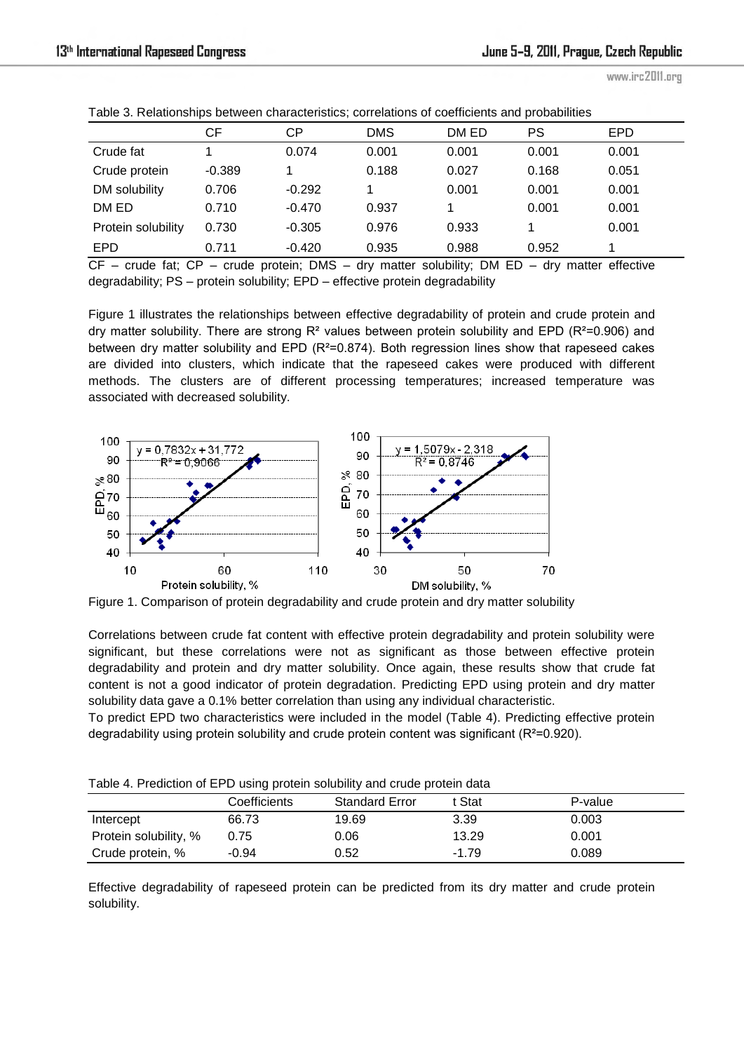|                    | СF       | СP       | DMS   | DM ED | PS    | <b>EPD</b> |
|--------------------|----------|----------|-------|-------|-------|------------|
| Crude fat          |          | 0.074    | 0.001 | 0.001 | 0.001 | 0.001      |
| Crude protein      | $-0.389$ |          | 0.188 | 0.027 | 0.168 | 0.051      |
| DM solubility      | 0.706    | $-0.292$ |       | 0.001 | 0.001 | 0.001      |
| DM ED              | 0.710    | $-0.470$ | 0.937 |       | 0.001 | 0.001      |
| Protein solubility | 0.730    | $-0.305$ | 0.976 | 0.933 | 1     | 0.001      |
| EPD                | 0.711    | $-0.420$ | 0.935 | 0.988 | 0.952 |            |

Table 3. Relationships between characteristics; correlations of coefficients and probabilities

CF – crude fat; CP – crude protein; DMS – dry matter solubility; DM ED – dry matter effective degradability; PS – protein solubility; EPD – effective protein degradability

Figure 1 illustrates the relationships between effective degradability of protein and crude protein and dry matter solubility. There are strong  $R^2$  values between protein solubility and EPD ( $R^2$ =0.906) and between dry matter solubility and EPD (R<sup>2</sup>=0.874). Both regression lines show that rapeseed cakes are divided into clusters, which indicate that the rapeseed cakes were produced with different methods. The clusters are of different processing temperatures; increased temperature was associated with decreased solubility.



Figure 1. Comparison of protein degradability and crude protein and dry matter solubility

Correlations between crude fat content with effective protein degradability and protein solubility were significant, but these correlations were not as significant as those between effective protein degradability and protein and dry matter solubility. Once again, these results show that crude fat content is not a good indicator of protein degradation. Predicting EPD using protein and dry matter solubility data gave a 0.1% better correlation than using any individual characteristic.

To predict EPD two characteristics were included in the model (Table 4). Predicting effective protein degradability using protein solubility and crude protein content was significant (R<sup>2</sup>=0.920).

| Table +. I Tealough of LT D doing protein coldomy and crade protein data |              |                       |        |         |  |
|--------------------------------------------------------------------------|--------------|-----------------------|--------|---------|--|
|                                                                          | Coefficients | <b>Standard Error</b> | t Stat | P-value |  |
| Intercept                                                                | 66.73        | 19.69                 | 3.39   | 0.003   |  |

Protein solubility, % 0.75 0.06 13.29 0.001 Crude protein, % -0.94 0.52 -1.79 0.089

Table 4. Prediction of EPD using protein solubility and crude protein data

Effective degradability of rapeseed protein can be predicted from its dry matter and crude protein solubility.